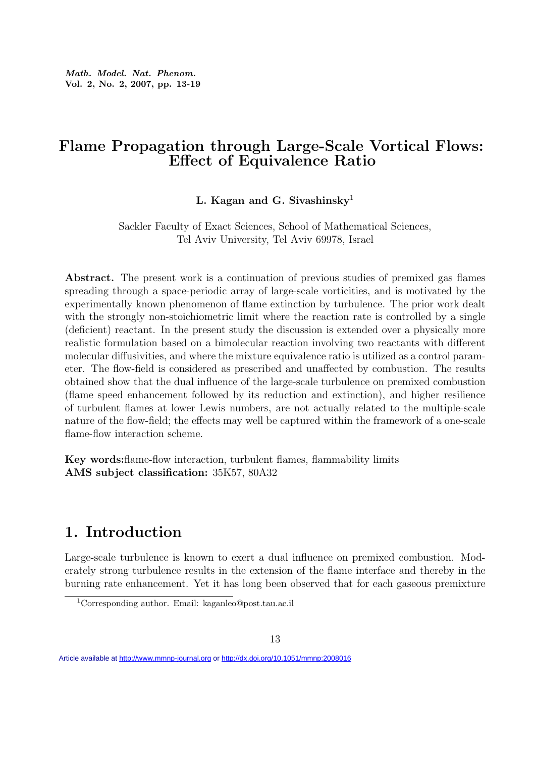Math. Model. Nat. Phenom. Vol. 2, No. 2, 2007, pp. 13-19

### Flame Propagation through Large-Scale Vortical Flows: Effect of Equivalence Ratio

L. Kagan and G. Sivashinsky<sup>1</sup>

Sackler Faculty of Exact Sciences, School of Mathematical Sciences, Tel Aviv University, Tel Aviv 69978, Israel

Abstract. The present work is a continuation of previous studies of premixed gas flames spreading through a space-periodic array of large-scale vorticities, and is motivated by the experimentally known phenomenon of flame extinction by turbulence. The prior work dealt with the strongly non-stoichiometric limit where the reaction rate is controlled by a single (deficient) reactant. In the present study the discussion is extended over a physically more realistic formulation based on a bimolecular reaction involving two reactants with different molecular diffusivities, and where the mixture equivalence ratio is utilized as a control parameter. The flow-field is considered as prescribed and unaffected by combustion. The results obtained show that the dual influence of the large-scale turbulence on premixed combustion (flame speed enhancement followed by its reduction and extinction), and higher resilience of turbulent flames at lower Lewis numbers, are not actually related to the multiple-scale nature of the flow-field; the effects may well be captured within the framework of a one-scale flame-flow interaction scheme.

Key words:flame-flow interaction, turbulent flames, flammability limits AMS subject classification: 35K57, 80A32

# 1. Introduction

Large-scale turbulence is known to exert a dual influence on premixed combustion. Moderately strong turbulence results in the extension of the flame interface and thereby in the burning rate enhancement. Yet it has long been observed that for each gaseous premixture

<sup>1</sup>Corresponding author. Email: kaganleo@post.tau.ac.il

Article available at <http://www.mmnp-journal.org>or<http://dx.doi.org/10.1051/mmnp:2008016>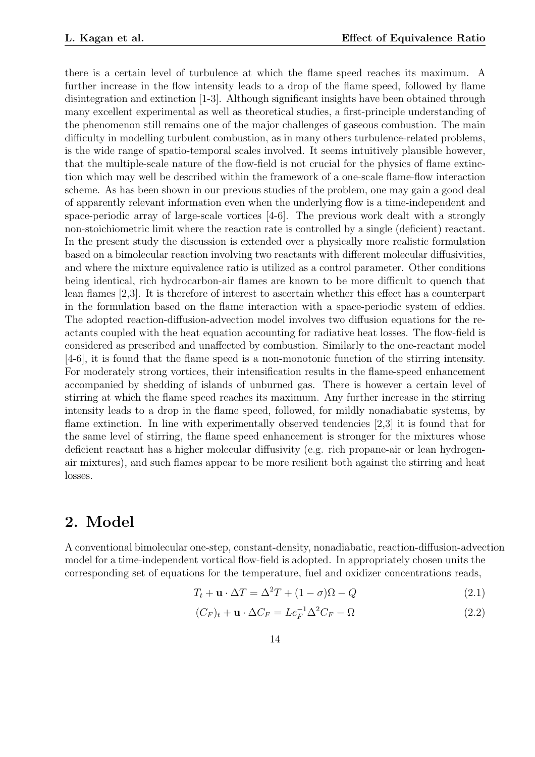there is a certain level of turbulence at which the flame speed reaches its maximum. A further increase in the flow intensity leads to a drop of the flame speed, followed by flame disintegration and extinction [1-3]. Although significant insights have been obtained through many excellent experimental as well as theoretical studies, a first-principle understanding of the phenomenon still remains one of the major challenges of gaseous combustion. The main difficulty in modelling turbulent combustion, as in many others turbulence-related problems, is the wide range of spatio-temporal scales involved. It seems intuitively plausible however, that the multiple-scale nature of the flow-field is not crucial for the physics of flame extinction which may well be described within the framework of a one-scale flame-flow interaction scheme. As has been shown in our previous studies of the problem, one may gain a good deal of apparently relevant information even when the underlying flow is a time-independent and space-periodic array of large-scale vortices [4-6]. The previous work dealt with a strongly non-stoichiometric limit where the reaction rate is controlled by a single (deficient) reactant. In the present study the discussion is extended over a physically more realistic formulation based on a bimolecular reaction involving two reactants with different molecular diffusivities, and where the mixture equivalence ratio is utilized as a control parameter. Other conditions being identical, rich hydrocarbon-air flames are known to be more difficult to quench that lean flames [2,3]. It is therefore of interest to ascertain whether this effect has a counterpart in the formulation based on the flame interaction with a space-periodic system of eddies. The adopted reaction-diffusion-advection model involves two diffusion equations for the reactants coupled with the heat equation accounting for radiative heat losses. The flow-field is considered as prescribed and unaffected by combustion. Similarly to the one-reactant model [4-6], it is found that the flame speed is a non-monotonic function of the stirring intensity. For moderately strong vortices, their intensification results in the flame-speed enhancement accompanied by shedding of islands of unburned gas. There is however a certain level of stirring at which the flame speed reaches its maximum. Any further increase in the stirring intensity leads to a drop in the flame speed, followed, for mildly nonadiabatic systems, by flame extinction. In line with experimentally observed tendencies [2,3] it is found that for the same level of stirring, the flame speed enhancement is stronger for the mixtures whose deficient reactant has a higher molecular diffusivity (e.g. rich propane-air or lean hydrogenair mixtures), and such flames appear to be more resilient both against the stirring and heat losses.

## 2. Model

A conventional bimolecular one-step, constant-density, nonadiabatic, reaction-diffusion-advection model for a time-independent vortical flow-field is adopted. In appropriately chosen units the corresponding set of equations for the temperature, fuel and oxidizer concentrations reads,

$$
T_t + \mathbf{u} \cdot \Delta T = \Delta^2 T + (1 - \sigma)\Omega - Q \tag{2.1}
$$

$$
(C_F)_t + \mathbf{u} \cdot \Delta C_F = Le_F^{-1} \Delta^2 C_F - \Omega \tag{2.2}
$$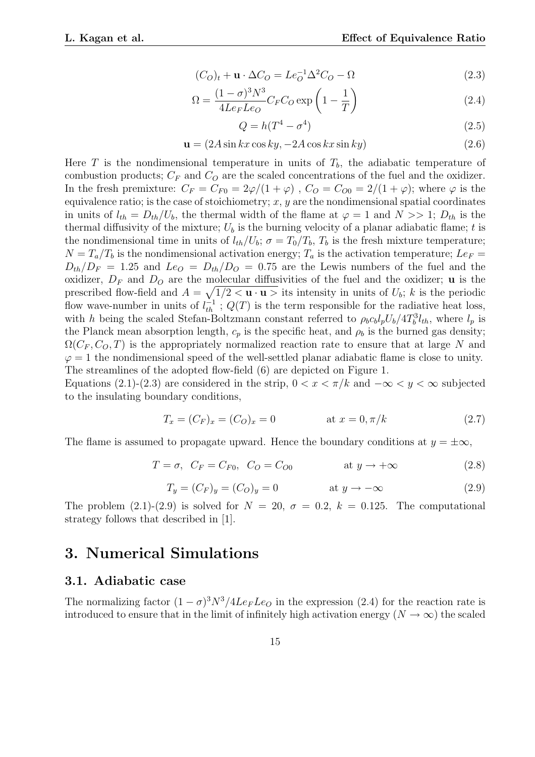$$
(C_O)_t + \mathbf{u} \cdot \Delta C_O = Le_O^{-1} \Delta^2 C_O - \Omega \tag{2.3}
$$

$$
\Omega = \frac{(1 - \sigma)^3 N^3}{4L e_F L e_O} C_F C_O \exp\left(1 - \frac{1}{T}\right)
$$
\n(2.4)

$$
Q = h(T^4 - \sigma^4) \tag{2.5}
$$

$$
\mathbf{u} = (2A\sin kx\cos ky, -2A\cos kx\sin ky) \tag{2.6}
$$

Here T is the nondimensional temperature in units of  $T<sub>b</sub>$ , the adiabatic temperature of combustion products;  $C_F$  and  $C_O$  are the scaled concentrations of the fuel and the oxidizer. In the fresh premixture:  $C_F = C_{F0} = 2\varphi/(1+\varphi)$ ,  $C_O = C_{O0} = 2/(1+\varphi)$ ; where  $\varphi$  is the equivalence ratio; is the case of stoichiometry;  $x, y$  are the nondimensional spatial coordinates in units of  $l_{th} = D_{th}/U_b$ , the thermal width of the flame at  $\varphi = 1$  and  $N >> 1$ ;  $D_{th}$  is the thermal diffusivity of the mixture;  $U_b$  is the burning velocity of a planar adiabatic flame; t is the nondimensional time in units of  $l_{th}/U_b$ ;  $\sigma = T_0/T_b$ ,  $T_b$  is the fresh mixture temperature;  $N = T_a/T_b$  is the nondimensional activation energy;  $T_a$  is the activation temperature;  $Le_F =$  $D_{th}/D_F = 1.25$  and  $Le_0 = D_{th}/D_0 = 0.75$  are the Lewis numbers of the fuel and the oxidizer,  $D_F$  and  $D_O$  are the molecular diffusivities of the fuel and the oxidizer; **u** is the prescribed flow-field and  $A = \sqrt{1/2} < u \cdot u > i$  its intensity in units of  $U_b$ ; k is the periodic flow wave-number in units of  $l_{th}^{-1}$ ;  $Q(T)$  is the term responsible for the radiative heat loss, with h being the scaled Stefan-Boltzmann constant referred to  $\rho_b c_b l_p U_b / 4 T_b^3 l_{th}$ , where  $l_p$  is the Planck mean absorption length,  $c_p$  is the specific heat, and  $\rho_b$  is the burned gas density;  $\Omega(C_F, C_O, T)$  is the appropriately normalized reaction rate to ensure that at large N and  $\varphi = 1$  the nondimensional speed of the well-settled planar adiabatic flame is close to unity. The streamlines of the adopted flow-field (6) are depicted on Figure 1.

Equations (2.1)-(2.3) are considered in the strip,  $0 < x < \pi/k$  and  $-\infty < y < \infty$  subjected to the insulating boundary conditions,

$$
T_x = (C_F)_x = (C_O)_x = 0 \qquad \text{at } x = 0, \pi/k \tag{2.7}
$$

The flame is assumed to propagate upward. Hence the boundary conditions at  $y = \pm \infty$ ,

$$
T = \sigma, \quad C_F = C_{F0}, \quad C_O = C_{O0} \qquad \text{at } y \to +\infty \tag{2.8}
$$

$$
T_y = (C_F)_y = (C_O)_y = 0 \qquad \text{at } y \to -\infty \tag{2.9}
$$

The problem  $(2.1)-(2.9)$  is solved for  $N = 20$ ,  $\sigma = 0.2$ ,  $k = 0.125$ . The computational strategy follows that described in [1].

### 3. Numerical Simulations

#### 3.1. Adiabatic case

The normalizing factor  $(1 - \sigma)^3 N^3 / 4Le_F Le_O$  in the expression (2.4) for the reaction rate is introduced to ensure that in the limit of infinitely high activation energy ( $N \to \infty$ ) the scaled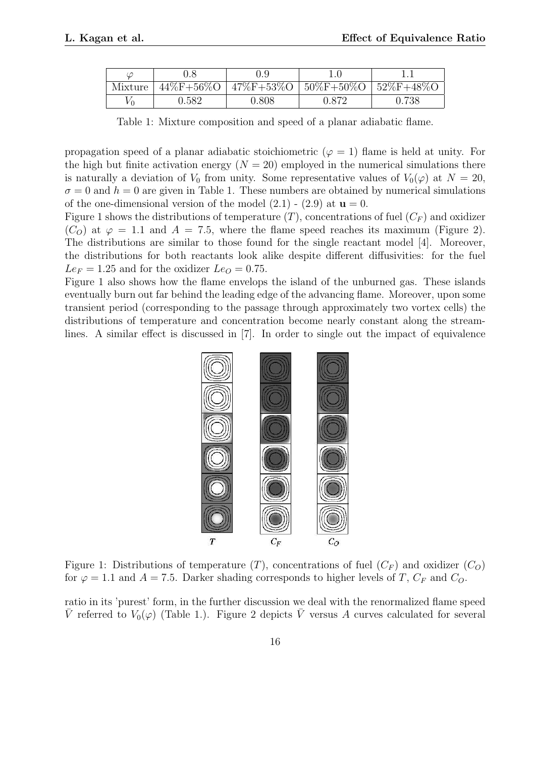| Mixture | $44\%$ F+56\%O | $\mid$ 47%F+53%O $\mid$ 50%F+50%O $\mid$ 52%F+48%O |             |       |
|---------|----------------|----------------------------------------------------|-------------|-------|
|         | 0.582          | 0.808                                              | $\;\:0.872$ | 0.738 |

Table 1: Mixture composition and speed of a planar adiabatic flame.

propagation speed of a planar adiabatic stoichiometric ( $\varphi = 1$ ) flame is held at unity. For the high but finite activation energy  $(N = 20)$  employed in the numerical simulations there is naturally a deviation of  $V_0$  from unity. Some representative values of  $V_0(\varphi)$  at  $N = 20$ ,  $\sigma = 0$  and  $h = 0$  are given in Table 1. These numbers are obtained by numerical simulations of the one-dimensional version of the model  $(2.1)$  -  $(2.9)$  at  $\mathbf{u} = 0$ .

Figure 1 shows the distributions of temperature  $(T)$ , concentrations of fuel  $(C_F)$  and oxidizer  $(C<sub>O</sub>)$  at  $\varphi = 1.1$  and  $A = 7.5$ , where the flame speed reaches its maximum (Figure 2). The distributions are similar to those found for the single reactant model [4]. Moreover, the distributions for both reactants look alike despite different diffusivities: for the fuel  $Le_F = 1.25$  and for the oxidizer  $Le_0 = 0.75$ .

Figure 1 also shows how the flame envelops the island of the unburned gas. These islands eventually burn out far behind the leading edge of the advancing flame. Moreover, upon some transient period (corresponding to the passage through approximately two vortex cells) the distributions of temperature and concentration become nearly constant along the streamlines. A similar effect is discussed in [7]. In order to single out the impact of equivalence



Figure 1: Distributions of temperature  $(T)$ , concentrations of fuel  $(C_F)$  and oxidizer  $(C_O)$ for  $\varphi = 1.1$  and  $A = 7.5$ . Darker shading corresponds to higher levels of T,  $C_F$  and  $C_O$ .

ratio in its 'purest' form, in the further discussion we deal with the renormalized flame speed  $\bar{V}$  referred to  $V_0(\varphi)$  (Table 1.). Figure 2 depicts  $\bar{V}$  versus A curves calculated for several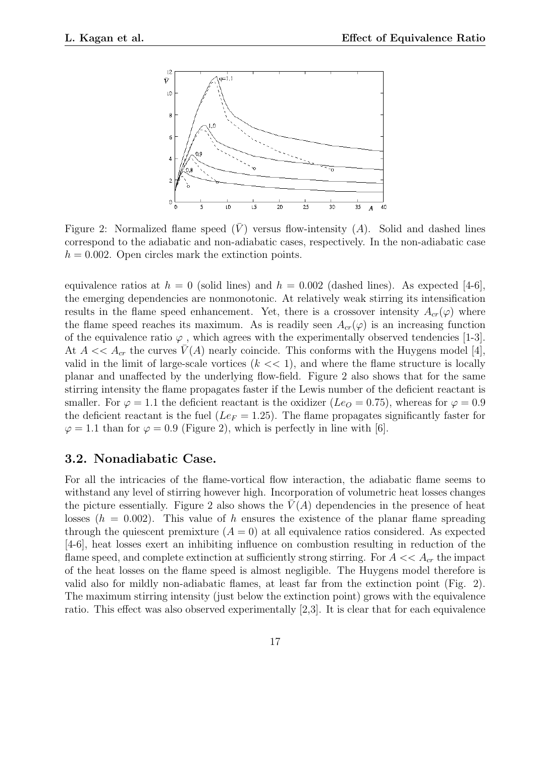

Figure 2: Normalized flame speed  $(\bar{V})$  versus flow-intensity  $(A)$ . Solid and dashed lines correspond to the adiabatic and non-adiabatic cases, respectively. In the non-adiabatic case  $h = 0.002$ . Open circles mark the extinction points.

equivalence ratios at  $h = 0$  (solid lines) and  $h = 0.002$  (dashed lines). As expected [4-6], the emerging dependencies are nonmonotonic. At relatively weak stirring its intensification results in the flame speed enhancement. Yet, there is a crossover intensity  $A_{cr}(\varphi)$  where the flame speed reaches its maximum. As is readily seen  $A_{cr}(\varphi)$  is an increasing function of the equivalence ratio  $\varphi$ , which agrees with the experimentally observed tendencies [1-3]. At  $A \ll A_{cr}$  the curves  $\bar{V}(A)$  nearly coincide. This conforms with the Huygens model [4], valid in the limit of large-scale vortices  $(k \ll 1)$ , and where the flame structure is locally planar and unaffected by the underlying flow-field. Figure 2 also shows that for the same stirring intensity the flame propagates faster if the Lewis number of the deficient reactant is smaller. For  $\varphi = 1.1$  the deficient reactant is the oxidizer ( $Le<sub>O</sub> = 0.75$ ), whereas for  $\varphi = 0.9$ the deficient reactant is the fuel ( $Le_F = 1.25$ ). The flame propagates significantly faster for  $\varphi = 1.1$  than for  $\varphi = 0.9$  (Figure 2), which is perfectly in line with [6].

#### 3.2. Nonadiabatic Case.

For all the intricacies of the flame-vortical flow interaction, the adiabatic flame seems to withstand any level of stirring however high. Incorporation of volumetric heat losses changes the picture essentially. Figure 2 also shows the  $\bar{V}(A)$  dependencies in the presence of heat losses ( $h = 0.002$ ). This value of h ensures the existence of the planar flame spreading through the quiescent premixture  $(A = 0)$  at all equivalence ratios considered. As expected [4-6], heat losses exert an inhibiting influence on combustion resulting in reduction of the flame speed, and complete extinction at sufficiently strong stirring. For  $A \ll A_{cr}$  the impact of the heat losses on the flame speed is almost negligible. The Huygens model therefore is valid also for mildly non-adiabatic flames, at least far from the extinction point (Fig. 2). The maximum stirring intensity (just below the extinction point) grows with the equivalence ratio. This effect was also observed experimentally [2,3]. It is clear that for each equivalence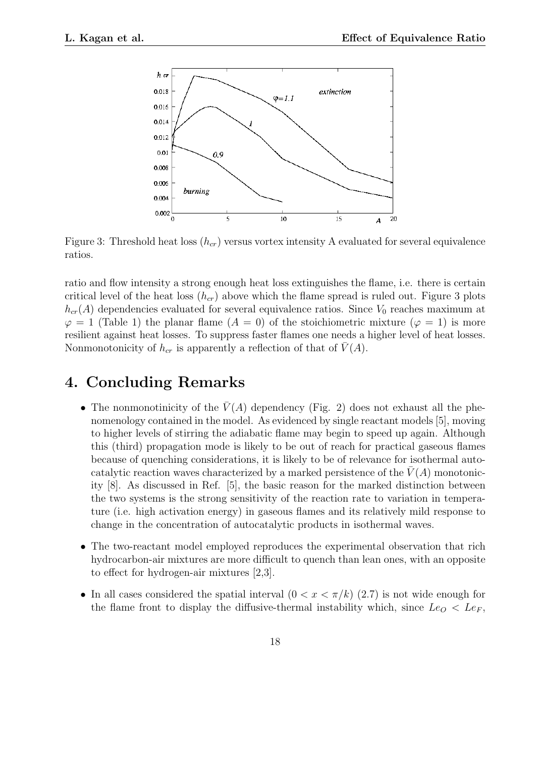

Figure 3: Threshold heat loss  $(h_{cr})$  versus vortex intensity A evaluated for several equivalence ratios.

ratio and flow intensity a strong enough heat loss extinguishes the flame, i.e. there is certain critical level of the heat loss  $(h_{cr})$  above which the flame spread is ruled out. Figure 3 plots  $h_{cr}(A)$  dependencies evaluated for several equivalence ratios. Since  $V_0$  reaches maximum at  $\varphi = 1$  (Table 1) the planar flame  $(A = 0)$  of the stoichiometric mixture  $(\varphi = 1)$  is more resilient against heat losses. To suppress faster flames one needs a higher level of heat losses. Nonmonotonicity of  $h_{cr}$  is apparently a reflection of that of  $\overline{V}(A)$ .

### 4. Concluding Remarks

- The nonmonotinicity of the  $\bar{V}(A)$  dependency (Fig. 2) does not exhaust all the phenomenology contained in the model. As evidenced by single reactant models [5], moving to higher levels of stirring the adiabatic flame may begin to speed up again. Although this (third) propagation mode is likely to be out of reach for practical gaseous flames because of quenching considerations, it is likely to be of relevance for isothermal autocatalytic reaction waves characterized by a marked persistence of the  $V(A)$  monotonicity [8]. As discussed in Ref. [5], the basic reason for the marked distinction between the two systems is the strong sensitivity of the reaction rate to variation in temperature (i.e. high activation energy) in gaseous flames and its relatively mild response to change in the concentration of autocatalytic products in isothermal waves.
- The two-reactant model employed reproduces the experimental observation that rich hydrocarbon-air mixtures are more difficult to quench than lean ones, with an opposite to effect for hydrogen-air mixtures [2,3].
- In all cases considered the spatial interval  $(0 < x < \pi/k)$  (2.7) is not wide enough for the flame front to display the diffusive-thermal instability which, since  $Le_0 < Le_F$ ,